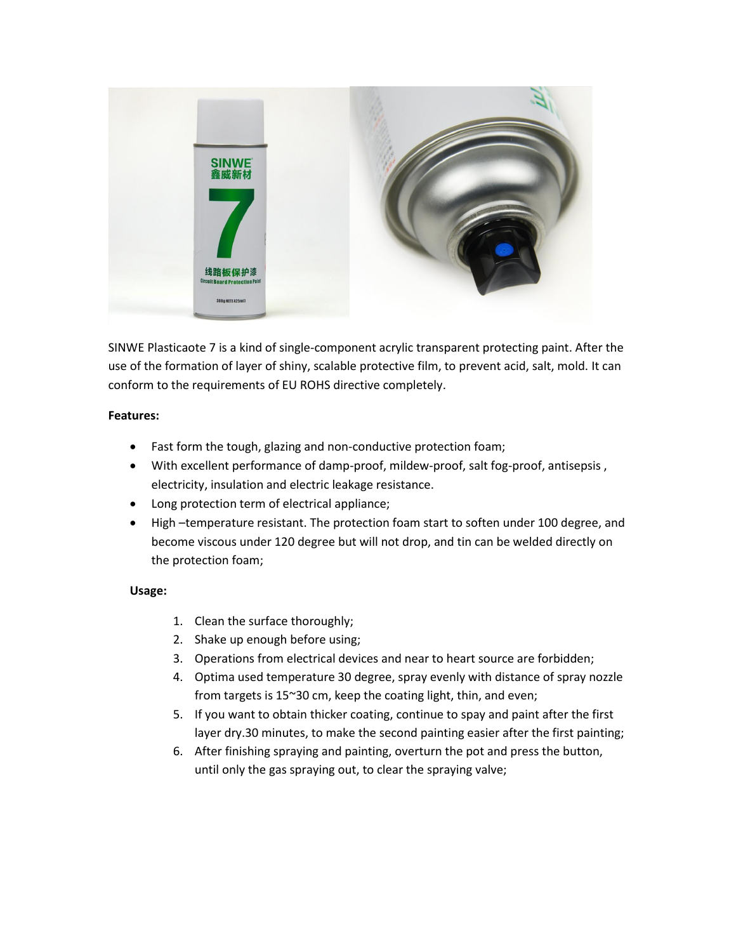

SINWE Plasticaote 7 is a kind of single-component acrylic transparent protecting paint. After the use of the formation of layer of shiny, scalable protective film, to prevent acid, salt, mold. It can conform to the requirements of EU ROHS directive completely.

## **Features:**

- Fast form the tough, glazing and non-conductive protection foam;
- With excellent performance of damp-proof, mildew-proof, salt fog-proof, antisepsis , electricity, insulation and electric leakage resistance.
- Long protection term of electrical appliance;
- High –temperature resistant. The protection foam start to soften under 100 degree, and become viscous under 120 degree but will not drop, and tin can be welded directly on the protection foam;

## **Usage:**

- 1. Clean the surface thoroughly;
- 2. Shake up enough before using;
- 3. Operations from electrical devices and near to heart source are forbidden;
- 4. Optima used temperature 30 degree, spray evenly with distance of spray nozzle from targets is 15~30 cm, keep the coating light, thin, and even;
- 5. If you want to obtain thicker coating, continue to spay and paint after the first layer dry.30 minutes, to make the second painting easier after the first painting;
- 6. After finishing spraying and painting, overturn the pot and press the button, until only the gas spraying out, to clear the spraying valve;